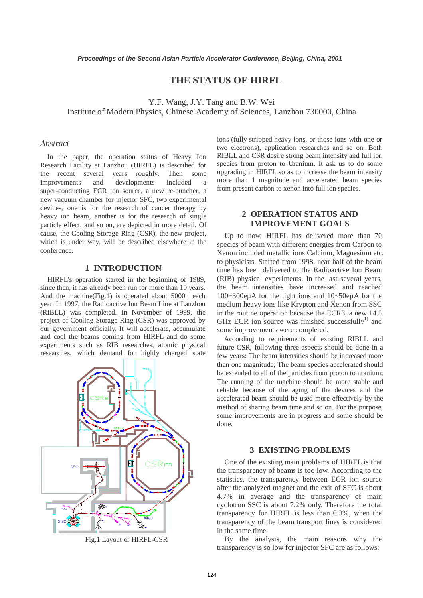# **THE STATUS OF HIRFL**

Y.F. Wang, J.Y. Tang and B.W. Wei Institute of Modern Physics, Chinese Academy of Sciences, Lanzhou 730000, China

#### *Abstract*

In the paper, the operation status of Heavy Ion Research Facility at Lanzhou (HIRFL) is described for the recent several years roughly. Then some improvements and developments included a super-conducting ECR ion source, a new re-buncher, a new vacuum chamber for injector SFC, two experimental devices, one is for the research of cancer therapy by heavy ion beam, another is for the research of single particle effect, and so on, are depicted in more detail. Of cause, the Cooling Storage Ring (CSR), the new project, which is under way, will be described elsewhere in the conference.

#### **1 INTRODUCTION**

HIRFL's operation started in the beginning of 1989, since then, it has already been run for more than 10 years. And the machine(Fig.1) is operated about 5000h each year. In 1997, the Radioactive Ion Beam Line at Lanzhou (RIBLL) was completed. In November of 1999, the project of Cooling Storage Ring (CSR) was approved by our government officially. It will accelerate, accumulate and cool the beams coming from HIRFL and do some experiments such as RIB researches, atomic physical researches, which demand for highly charged state



Fig.1 Layout of HIRFL-CSR

ions (fully stripped heavy ions, or those ions with one or two electrons), application researches and so on. Both RIBLL and CSR desire strong beam intensity and full ion species from proton to Uranium. It ask us to do some upgrading in HIRFL so as to increase the beam intensity more than 1 magnitude and accelerated beam species from present carbon to xenon into full ion species.

## **2 OPERATION STATUS AND IMPROVEMENT GOALS**

Up to now, HIRFL has delivered more than 70 species of beam with different energies from Carbon to Xenon included metallic ions Calcium, Magnesium etc. to physicists. Started from 1998, near half of the beam time has been delivered to the Radioactive Ion Beam (RIB) physical experiments. In the last several years, the beam intensities have increased and reached 100~300eµA for the light ions and 10~50eµA for the medium heavy ions like Krypton and Xenon from SSC in the routine operation because the ECR3, a new 14.5 GHz ECR ion source was finished successfully<sup>1)</sup> and some improvements were completed.

According to requirements of existing RIBLL and future CSR, following three aspects should be done in a few years: The beam intensities should be increased more than one magnitude; The beam species accelerated should be extended to all of the particles from proton to uranium; The running of the machine should be more stable and reliable because of the aging of the devices and the accelerated beam should be used more effectively by the method of sharing beam time and so on. For the purpose, some improvements are in progress and some should be done.

#### **3 EXISTING PROBLEMS**

One of the existing main problems of HIRFL is that the transparency of beams is too low. According to the statistics, the transparency between ECR ion source after the analyzed magnet and the exit of SFC is about 4.7% in average and the transparency of main cyclotron SSC is about 7.2% only. Therefore the total transparency for HIRFL is less than 0.3%, when the transparency of the beam transport lines is considered in the same time.

 By the analysis, the main reasons why the transparency is so low for injector SFC are as follows: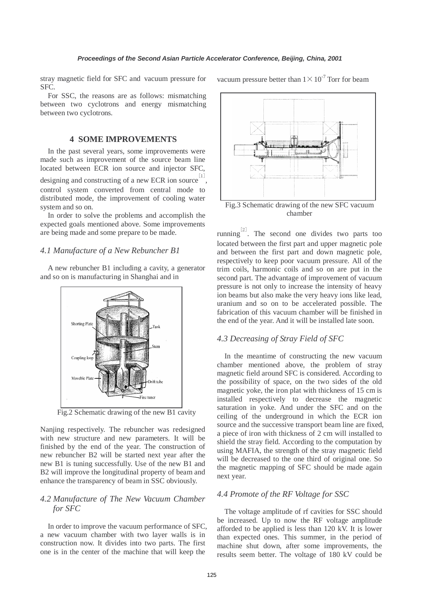stray magnetic field for SFC and vacuum pressure for SFC.

 For SSC, the reasons are as follows: mismatching between two cyclotrons and energy mismatching between two cyclotrons.

## **4 SOME IMPROVEMENTS**

In the past several years, some improvements were made such as improvement of the source beam line located between ECR ion source and injector SFC, designing and constructing of a new ECR ion source  $\left[1\right]$ , control system converted from central mode to distributed mode, the improvement of cooling water system and so on.

In order to solve the problems and accomplish the expected goals mentioned above. Some improvements are being made and some prepare to be made.

#### *4.1 Manufacture of a New Rebuncher B1*

A new rebuncher B1 including a cavity, a generator and so on is manufacturing in Shanghai and in



Fig.2 Schematic drawing of the new B1 cavity

Nanjing respectively. The rebuncher was redesigned with new structure and new parameters. It will be finished by the end of the year. The construction of new rebuncher B2 will be started next year after the new B1 is tuning successfully. Use of the new B1 and B2 will improve the longitudinal property of beam and enhance the transparency of beam in SSC obviously.

## *4.2 Manufacture of The New Vacuum Chamber for SFC*

In order to improve the vacuum performance of SFC, a new vacuum chamber with two layer walls is in construction now. It divides into two parts. The first one is in the center of the machine that will keep the

vacuum pressure better than  $1 \times 10^{-7}$  Torr for beam



chamber

running<sup>[2]</sup>. The second one divides two parts too located between the first part and upper magnetic pole and between the first part and down magnetic pole, respectively to keep poor vacuum pressure. All of the trim coils, harmonic coils and so on are put in the second part. The advantage of improvement of vacuum pressure is not only to increase the intensity of heavy ion beams but also make the very heavy ions like lead, uranium and so on to be accelerated possible. The fabrication of this vacuum chamber will be finished in the end of the year. And it will be installed late soon.

#### *4.3 Decreasing of Stray Field of SFC*

In the meantime of constructing the new vacuum chamber mentioned above, the problem of stray magnetic field around SFC is considered. According to the possibility of space, on the two sides of the old magnetic yoke, the iron plat with thickness of 15 cm is installed respectively to decrease the magnetic saturation in yoke. And under the SFC and on the ceiling of the underground in which the ECR ion source and the successive transport beam line are fixed, a piece of iron with thickness of 2 cm will installed to shield the stray field. According to the computation by using MAFIA, the strength of the stray magnetic field will be decreased to the one third of original one. So the magnetic mapping of SFC should be made again next year.

## *4.4 Promote of the RF Voltage for SSC*

The voltage amplitude of rf cavities for SSC should be increased. Up to now the RF voltage amplitude afforded to be applied is less than 120 kV. It is lower than expected ones. This summer, in the period of machine shut down, after some improvements, the results seem better. The voltage of 180 kV could be